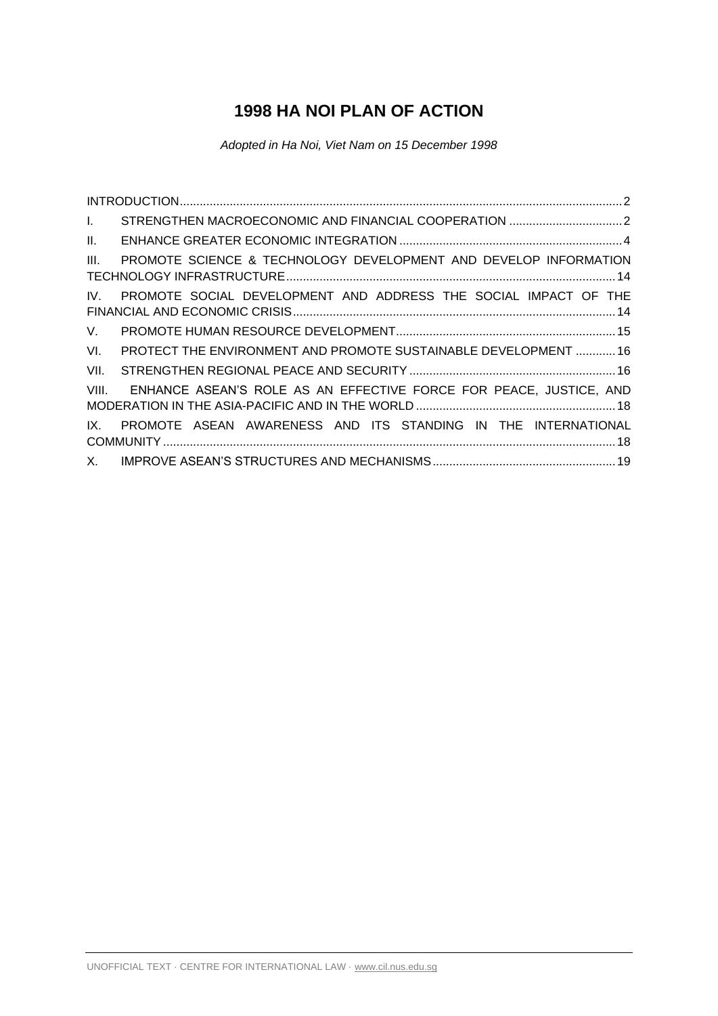# **1998 HA NOI PLAN OF ACTION**

*Adopted in Ha Noi, Viet Nam on 15 December 1998* 

| $\mathbf{L}$    |                                                                    |
|-----------------|--------------------------------------------------------------------|
| $\mathbf{II}$ . |                                                                    |
| III.            | PROMOTE SCIENCE & TECHNOLOGY DEVELOPMENT AND DEVELOP INFORMATION   |
| IV.             | PROMOTE SOCIAL DEVELOPMENT AND ADDRESS THE SOCIAL IMPACT OF THE    |
| V.              |                                                                    |
| VI.             | PROTECT THE ENVIRONMENT AND PROMOTE SUSTAINABLE DEVELOPMENT  16    |
| VII.            |                                                                    |
| VIII.           | ENHANCE ASEAN'S ROLE AS AN EFFECTIVE FORCE FOR PEACE, JUSTICE, AND |
| IX.             | PROMOTE ASEAN AWARENESS AND ITS STANDING IN THE INTERNATIONAL      |
| X.              |                                                                    |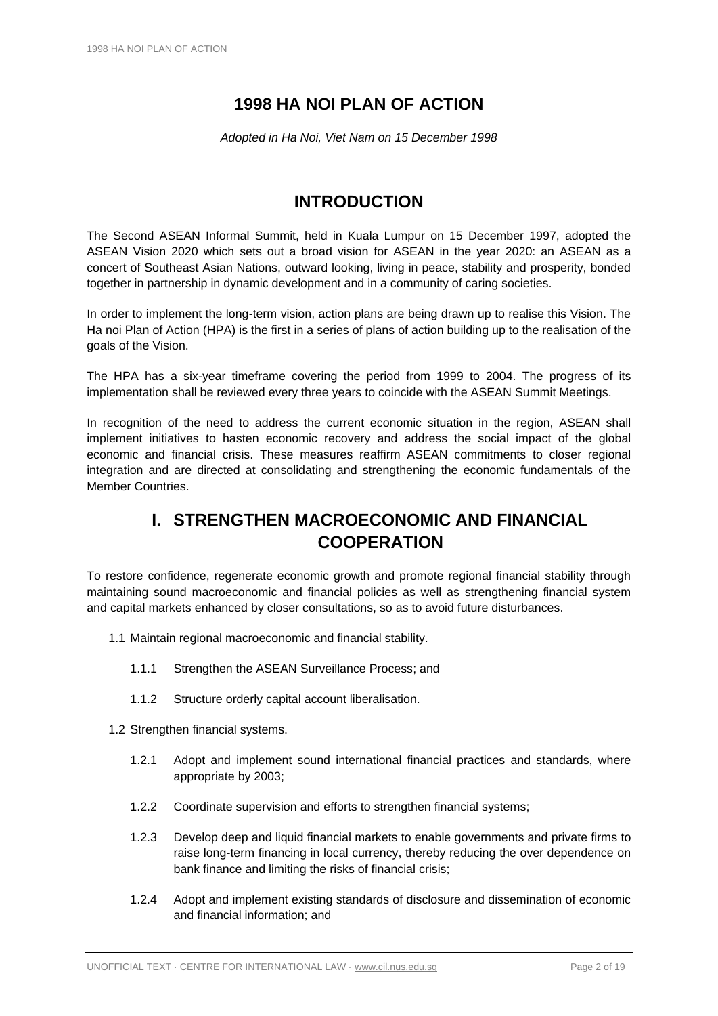## **1998 HA NOI PLAN OF ACTION**

*Adopted in Ha Noi, Viet Nam on 15 December 1998* 

### **INTRODUCTION**

<span id="page-1-0"></span>The Second ASEAN Informal Summit, held in Kuala Lumpur on 15 December 1997, adopted the ASEAN Vision 2020 which sets out a broad vision for ASEAN in the year 2020: an ASEAN as a concert of Southeast Asian Nations, outward looking, living in peace, stability and prosperity, bonded together in partnership in dynamic development and in a community of caring societies.

In order to implement the long-term vision, action plans are being drawn up to realise this Vision. The Ha noi Plan of Action (HPA) is the first in a series of plans of action building up to the realisation of the goals of the Vision.

The HPA has a six-year timeframe covering the period from 1999 to 2004. The progress of its implementation shall be reviewed every three years to coincide with the ASEAN Summit Meetings.

In recognition of the need to address the current economic situation in the region, ASEAN shall implement initiatives to hasten economic recovery and address the social impact of the global economic and financial crisis. These measures reaffirm ASEAN commitments to closer regional integration and are directed at consolidating and strengthening the economic fundamentals of the Member Countries.

## **I. STRENGTHEN MACROECONOMIC AND FINANCIAL COOPERATION**

<span id="page-1-1"></span>To restore confidence, regenerate economic growth and promote regional financial stability through maintaining sound macroeconomic and financial policies as well as strengthening financial system and capital markets enhanced by closer consultations, so as to avoid future disturbances.

- 1.1 Maintain regional macroeconomic and financial stability.
	- 1.1.1 Strengthen the ASEAN Surveillance Process; and
	- 1.1.2 Structure orderly capital account liberalisation.

1.2 Strengthen financial systems.

- 1.2.1 Adopt and implement sound international financial practices and standards, where appropriate by 2003;
- 1.2.2 Coordinate supervision and efforts to strengthen financial systems;
- 1.2.3 Develop deep and liquid financial markets to enable governments and private firms to raise long-term financing in local currency, thereby reducing the over dependence on bank finance and limiting the risks of financial crisis;
- 1.2.4 Adopt and implement existing standards of disclosure and dissemination of economic and financial information; and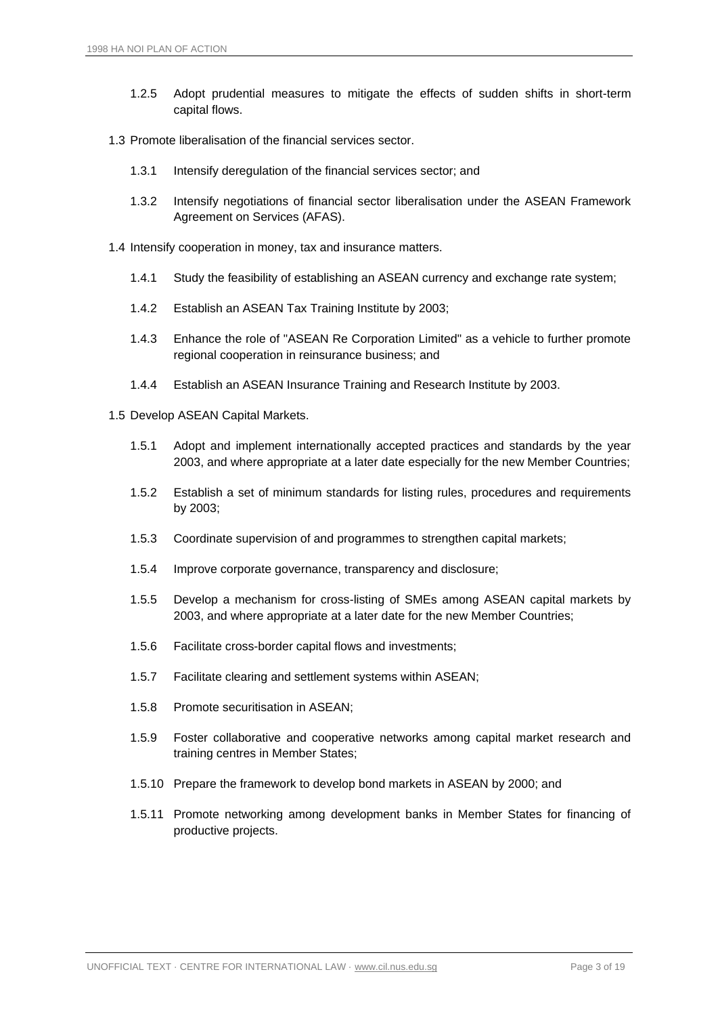- 1.2.5 Adopt prudential measures to mitigate the effects of sudden shifts in short-term capital flows.
- 1.3 Promote liberalisation of the financial services sector.
	- 1.3.1 Intensify deregulation of the financial services sector; and
	- 1.3.2 Intensify negotiations of financial sector liberalisation under the ASEAN Framework Agreement on Services (AFAS).
- 1.4 Intensify cooperation in money, tax and insurance matters.
	- 1.4.1 Study the feasibility of establishing an ASEAN currency and exchange rate system;
	- 1.4.2 Establish an ASEAN Tax Training Institute by 2003;
	- 1.4.3 Enhance the role of "ASEAN Re Corporation Limited" as a vehicle to further promote regional cooperation in reinsurance business; and
	- 1.4.4 Establish an ASEAN Insurance Training and Research Institute by 2003.
- 1.5 Develop ASEAN Capital Markets.
	- 1.5.1 Adopt and implement internationally accepted practices and standards by the year 2003, and where appropriate at a later date especially for the new Member Countries;
	- 1.5.2 Establish a set of minimum standards for listing rules, procedures and requirements by 2003;
	- 1.5.3 Coordinate supervision of and programmes to strengthen capital markets;
	- 1.5.4 Improve corporate governance, transparency and disclosure;
	- 1.5.5 Develop a mechanism for cross-listing of SMEs among ASEAN capital markets by 2003, and where appropriate at a later date for the new Member Countries;
	- 1.5.6 Facilitate cross-border capital flows and investments;
	- 1.5.7 Facilitate clearing and settlement systems within ASEAN;
	- 1.5.8 Promote securitisation in ASEAN;
	- 1.5.9 Foster collaborative and cooperative networks among capital market research and training centres in Member States;
	- 1.5.10 Prepare the framework to develop bond markets in ASEAN by 2000; and
	- 1.5.11 Promote networking among development banks in Member States for financing of productive projects.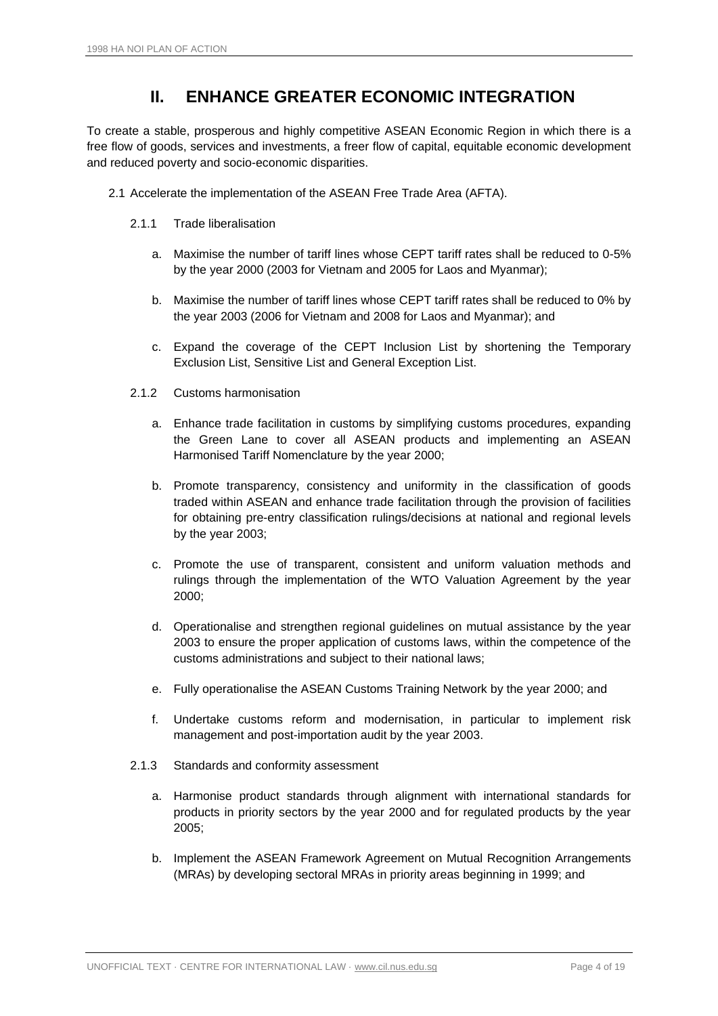### **II. ENHANCE GREATER ECONOMIC INTEGRATION**

<span id="page-3-0"></span>To create a stable, prosperous and highly competitive ASEAN Economic Region in which there is a free flow of goods, services and investments, a freer flow of capital, equitable economic development and reduced poverty and socio-economic disparities.

- 2.1 Accelerate the implementation of the ASEAN Free Trade Area (AFTA).
	- 2.1.1 Trade liberalisation
		- a. Maximise the number of tariff lines whose CEPT tariff rates shall be reduced to 0-5% by the year 2000 (2003 for Vietnam and 2005 for Laos and Myanmar);
		- b. Maximise the number of tariff lines whose CEPT tariff rates shall be reduced to 0% by the year 2003 (2006 for Vietnam and 2008 for Laos and Myanmar); and
		- c. Expand the coverage of the CEPT Inclusion List by shortening the Temporary Exclusion List, Sensitive List and General Exception List.
	- 2.1.2 Customs harmonisation
		- a. Enhance trade facilitation in customs by simplifying customs procedures, expanding the Green Lane to cover all ASEAN products and implementing an ASEAN Harmonised Tariff Nomenclature by the year 2000;
		- b. Promote transparency, consistency and uniformity in the classification of goods traded within ASEAN and enhance trade facilitation through the provision of facilities for obtaining pre-entry classification rulings/decisions at national and regional levels by the year 2003;
		- c. Promote the use of transparent, consistent and uniform valuation methods and rulings through the implementation of the WTO Valuation Agreement by the year 2000;
		- d. Operationalise and strengthen regional guidelines on mutual assistance by the year 2003 to ensure the proper application of customs laws, within the competence of the customs administrations and subject to their national laws;
		- e. Fully operationalise the ASEAN Customs Training Network by the year 2000; and
		- f. Undertake customs reform and modernisation, in particular to implement risk management and post-importation audit by the year 2003.
	- 2.1.3 Standards and conformity assessment
		- a. Harmonise product standards through alignment with international standards for products in priority sectors by the year 2000 and for regulated products by the year 2005;
		- b. Implement the ASEAN Framework Agreement on Mutual Recognition Arrangements (MRAs) by developing sectoral MRAs in priority areas beginning in 1999; and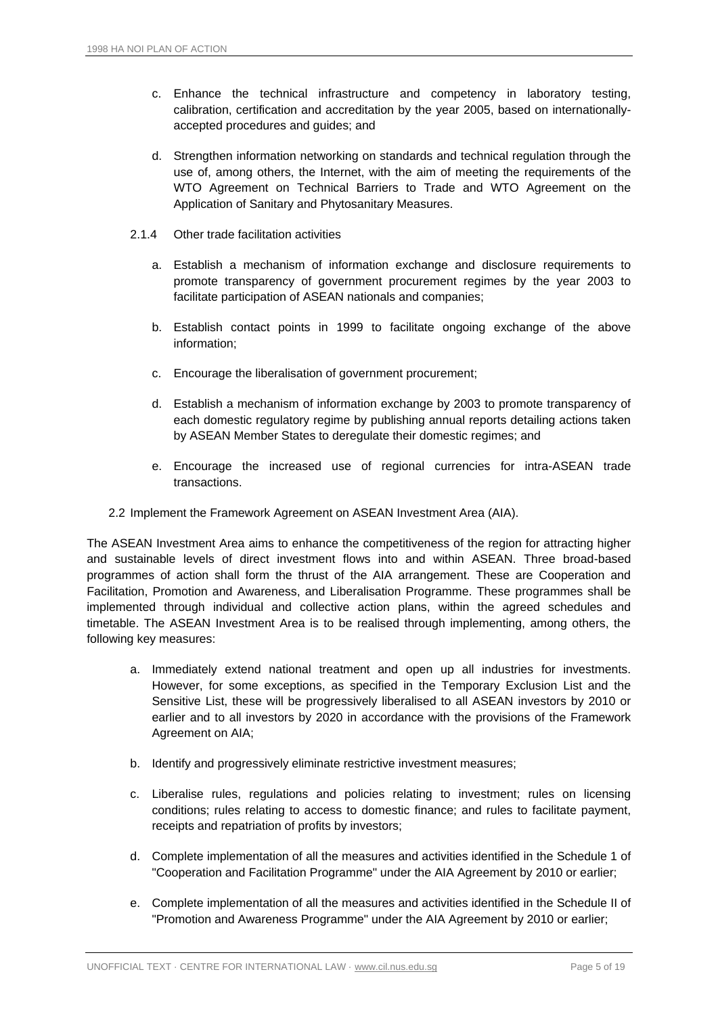- c. Enhance the technical infrastructure and competency in laboratory testing, calibration, certification and accreditation by the year 2005, based on internationallyaccepted procedures and guides; and
- d. Strengthen information networking on standards and technical regulation through the use of, among others, the Internet, with the aim of meeting the requirements of the WTO Agreement on Technical Barriers to Trade and WTO Agreement on the Application of Sanitary and Phytosanitary Measures.
- 2.1.4 Other trade facilitation activities
	- a. Establish a mechanism of information exchange and disclosure requirements to promote transparency of government procurement regimes by the year 2003 to facilitate participation of ASEAN nationals and companies;
	- b. Establish contact points in 1999 to facilitate ongoing exchange of the above information;
	- c. Encourage the liberalisation of government procurement;
	- d. Establish a mechanism of information exchange by 2003 to promote transparency of each domestic regulatory regime by publishing annual reports detailing actions taken by ASEAN Member States to deregulate their domestic regimes; and
	- e. Encourage the increased use of regional currencies for intra-ASEAN trade transactions.
- 2.2 Implement the Framework Agreement on ASEAN Investment Area (AIA).

The ASEAN Investment Area aims to enhance the competitiveness of the region for attracting higher and sustainable levels of direct investment flows into and within ASEAN. Three broad-based programmes of action shall form the thrust of the AIA arrangement. These are Cooperation and Facilitation, Promotion and Awareness, and Liberalisation Programme. These programmes shall be implemented through individual and collective action plans, within the agreed schedules and timetable. The ASEAN Investment Area is to be realised through implementing, among others, the following key measures:

- a. Immediately extend national treatment and open up all industries for investments. However, for some exceptions, as specified in the Temporary Exclusion List and the Sensitive List, these will be progressively liberalised to all ASEAN investors by 2010 or earlier and to all investors by 2020 in accordance with the provisions of the Framework Agreement on AIA;
- b. Identify and progressively eliminate restrictive investment measures;
- c. Liberalise rules, regulations and policies relating to investment; rules on licensing conditions; rules relating to access to domestic finance; and rules to facilitate payment, receipts and repatriation of profits by investors;
- d. Complete implementation of all the measures and activities identified in the Schedule 1 of "Cooperation and Facilitation Programme" under the AIA Agreement by 2010 or earlier;
- e. Complete implementation of all the measures and activities identified in the Schedule II of "Promotion and Awareness Programme" under the AIA Agreement by 2010 or earlier;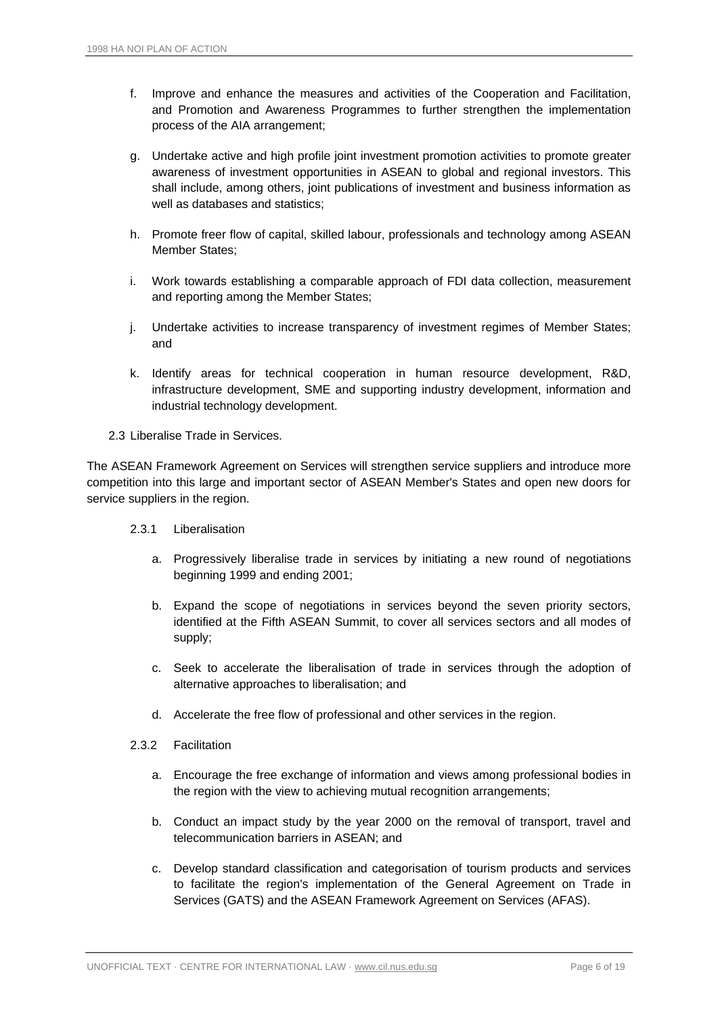- f. Improve and enhance the measures and activities of the Cooperation and Facilitation, and Promotion and Awareness Programmes to further strengthen the implementation process of the AIA arrangement;
- g. Undertake active and high profile joint investment promotion activities to promote greater awareness of investment opportunities in ASEAN to global and regional investors. This shall include, among others, joint publications of investment and business information as well as databases and statistics;
- h. Promote freer flow of capital, skilled labour, professionals and technology among ASEAN Member States;
- i. Work towards establishing a comparable approach of FDI data collection, measurement and reporting among the Member States;
- j. Undertake activities to increase transparency of investment regimes of Member States; and
- k. Identify areas for technical cooperation in human resource development, R&D, infrastructure development, SME and supporting industry development, information and industrial technology development.
- 2.3 Liberalise Trade in Services.

The ASEAN Framework Agreement on Services will strengthen service suppliers and introduce more competition into this large and important sector of ASEAN Member's States and open new doors for service suppliers in the region.

- 2.3.1 Liberalisation
	- a. Progressively liberalise trade in services by initiating a new round of negotiations beginning 1999 and ending 2001;
	- b. Expand the scope of negotiations in services beyond the seven priority sectors, identified at the Fifth ASEAN Summit, to cover all services sectors and all modes of supply;
	- c. Seek to accelerate the liberalisation of trade in services through the adoption of alternative approaches to liberalisation; and
	- d. Accelerate the free flow of professional and other services in the region.
- 2.3.2 Facilitation
	- a. Encourage the free exchange of information and views among professional bodies in the region with the view to achieving mutual recognition arrangements;
	- b. Conduct an impact study by the year 2000 on the removal of transport, travel and telecommunication barriers in ASEAN; and
	- c. Develop standard classification and categorisation of tourism products and services to facilitate the region's implementation of the General Agreement on Trade in Services (GATS) and the ASEAN Framework Agreement on Services (AFAS).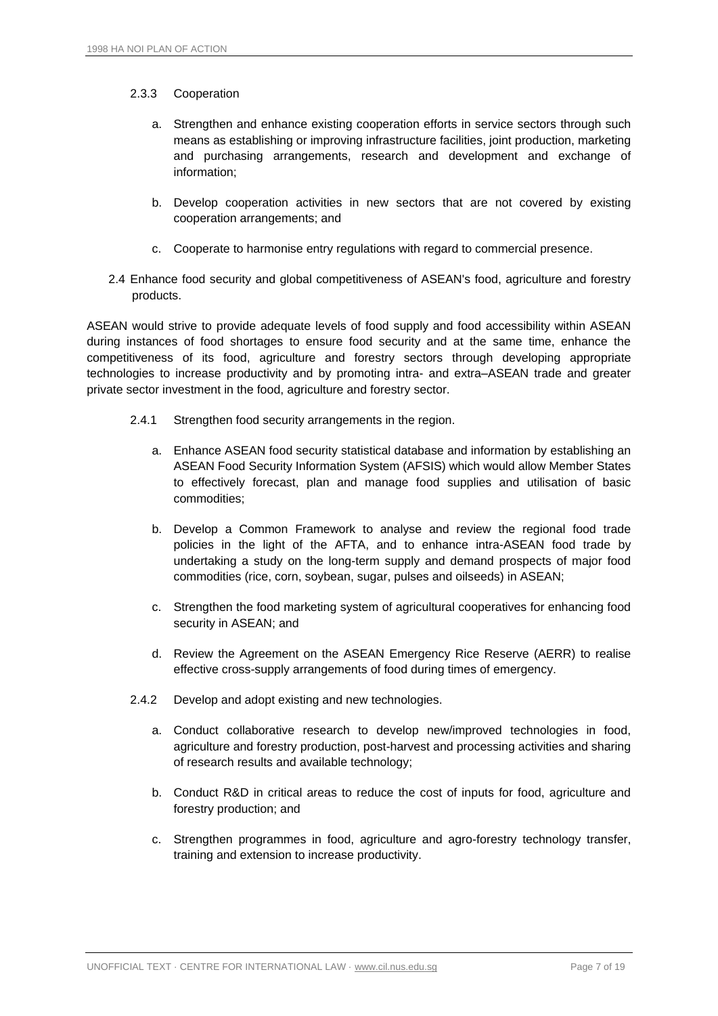#### 2.3.3 Cooperation

- a. Strengthen and enhance existing cooperation efforts in service sectors through such means as establishing or improving infrastructure facilities, joint production, marketing and purchasing arrangements, research and development and exchange of information;
- b. Develop cooperation activities in new sectors that are not covered by existing cooperation arrangements; and
- c. Cooperate to harmonise entry regulations with regard to commercial presence.
- 2.4 Enhance food security and global competitiveness of ASEAN's food, agriculture and forestry products.

ASEAN would strive to provide adequate levels of food supply and food accessibility within ASEAN during instances of food shortages to ensure food security and at the same time, enhance the competitiveness of its food, agriculture and forestry sectors through developing appropriate technologies to increase productivity and by promoting intra- and extra–ASEAN trade and greater private sector investment in the food, agriculture and forestry sector.

- 2.4.1 Strengthen food security arrangements in the region.
	- a. Enhance ASEAN food security statistical database and information by establishing an ASEAN Food Security Information System (AFSIS) which would allow Member States to effectively forecast, plan and manage food supplies and utilisation of basic commodities;
	- b. Develop a Common Framework to analyse and review the regional food trade policies in the light of the AFTA, and to enhance intra-ASEAN food trade by undertaking a study on the long-term supply and demand prospects of major food commodities (rice, corn, soybean, sugar, pulses and oilseeds) in ASEAN;
	- c. Strengthen the food marketing system of agricultural cooperatives for enhancing food security in ASEAN; and
	- d. Review the Agreement on the ASEAN Emergency Rice Reserve (AERR) to realise effective cross-supply arrangements of food during times of emergency.
- 2.4.2 Develop and adopt existing and new technologies.
	- a. Conduct collaborative research to develop new/improved technologies in food, agriculture and forestry production, post-harvest and processing activities and sharing of research results and available technology;
	- b. Conduct R&D in critical areas to reduce the cost of inputs for food, agriculture and forestry production; and
	- c. Strengthen programmes in food, agriculture and agro-forestry technology transfer, training and extension to increase productivity.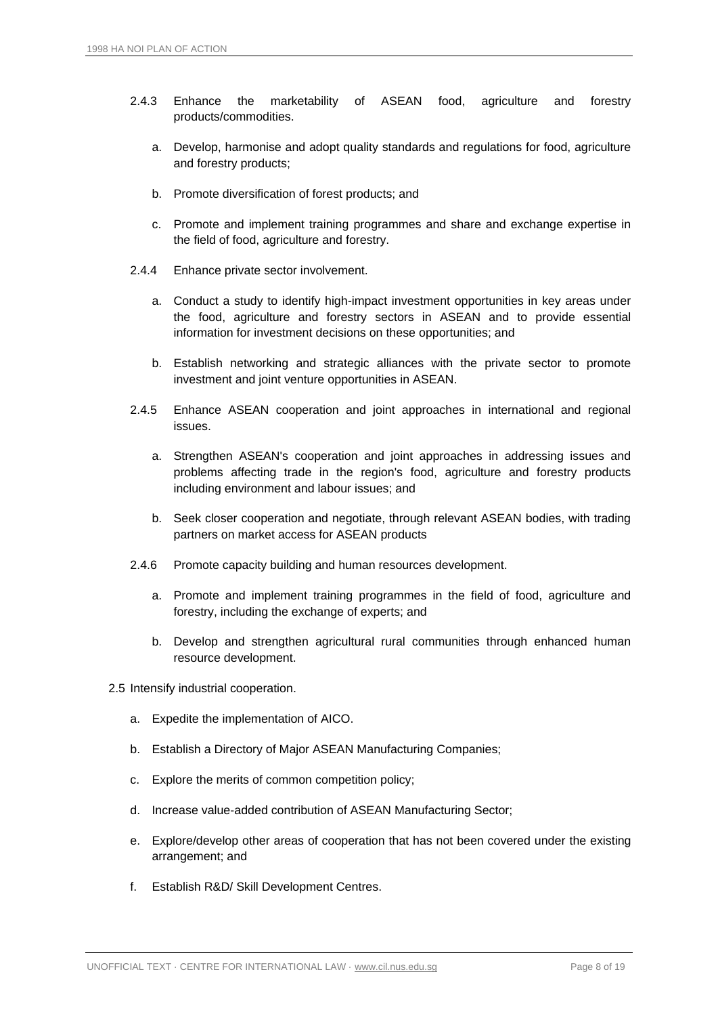- 2.4.3 Enhance the marketability of ASEAN food, agriculture and forestry products/commodities.
	- a. Develop, harmonise and adopt quality standards and regulations for food, agriculture and forestry products;
	- b. Promote diversification of forest products; and
	- c. Promote and implement training programmes and share and exchange expertise in the field of food, agriculture and forestry.
- 2.4.4 Enhance private sector involvement.
	- a. Conduct a study to identify high-impact investment opportunities in key areas under the food, agriculture and forestry sectors in ASEAN and to provide essential information for investment decisions on these opportunities; and
	- b. Establish networking and strategic alliances with the private sector to promote investment and joint venture opportunities in ASEAN.
- 2.4.5 Enhance ASEAN cooperation and joint approaches in international and regional issues.
	- a. Strengthen ASEAN's cooperation and joint approaches in addressing issues and problems affecting trade in the region's food, agriculture and forestry products including environment and labour issues; and
	- b. Seek closer cooperation and negotiate, through relevant ASEAN bodies, with trading partners on market access for ASEAN products
- 2.4.6 Promote capacity building and human resources development.
	- a. Promote and implement training programmes in the field of food, agriculture and forestry, including the exchange of experts; and
	- b. Develop and strengthen agricultural rural communities through enhanced human resource development.
- 2.5 Intensify industrial cooperation.
	- a. Expedite the implementation of AICO.
	- b. Establish a Directory of Major ASEAN Manufacturing Companies;
	- c. Explore the merits of common competition policy;
	- d. Increase value-added contribution of ASEAN Manufacturing Sector;
	- e. Explore/develop other areas of cooperation that has not been covered under the existing arrangement; and
	- f. Establish R&D/ Skill Development Centres.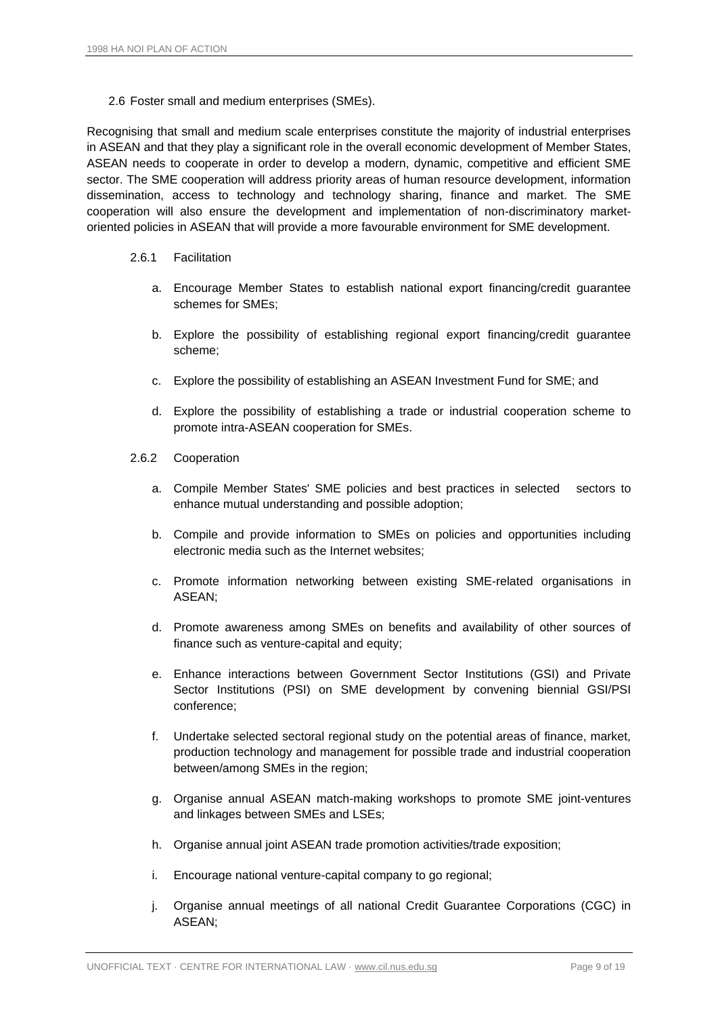2.6 Foster small and medium enterprises (SMEs).

Recognising that small and medium scale enterprises constitute the majority of industrial enterprises in ASEAN and that they play a significant role in the overall economic development of Member States, ASEAN needs to cooperate in order to develop a modern, dynamic, competitive and efficient SME sector. The SME cooperation will address priority areas of human resource development, information dissemination, access to technology and technology sharing, finance and market. The SME cooperation will also ensure the development and implementation of non-discriminatory marketoriented policies in ASEAN that will provide a more favourable environment for SME development.

#### 2.6.1 Facilitation

- a. Encourage Member States to establish national export financing/credit guarantee schemes for SMEs;
- b. Explore the possibility of establishing regional export financing/credit guarantee scheme;
- c. Explore the possibility of establishing an ASEAN Investment Fund for SME; and
- d. Explore the possibility of establishing a trade or industrial cooperation scheme to promote intra-ASEAN cooperation for SMEs.
- 2.6.2 Cooperation
	- a. Compile Member States' SME policies and best practices in selected sectors to enhance mutual understanding and possible adoption;
	- b. Compile and provide information to SMEs on policies and opportunities including electronic media such as the Internet websites;
	- c. Promote information networking between existing SME-related organisations in ASEAN;
	- d. Promote awareness among SMEs on benefits and availability of other sources of finance such as venture-capital and equity;
	- e. Enhance interactions between Government Sector Institutions (GSI) and Private Sector Institutions (PSI) on SME development by convening biennial GSI/PSI conference;
	- f. Undertake selected sectoral regional study on the potential areas of finance, market, production technology and management for possible trade and industrial cooperation between/among SMEs in the region;
	- g. Organise annual ASEAN match-making workshops to promote SME joint-ventures and linkages between SMEs and LSEs;
	- h. Organise annual joint ASEAN trade promotion activities/trade exposition;
	- i. Encourage national venture-capital company to go regional;
	- j. Organise annual meetings of all national Credit Guarantee Corporations (CGC) in ASEAN;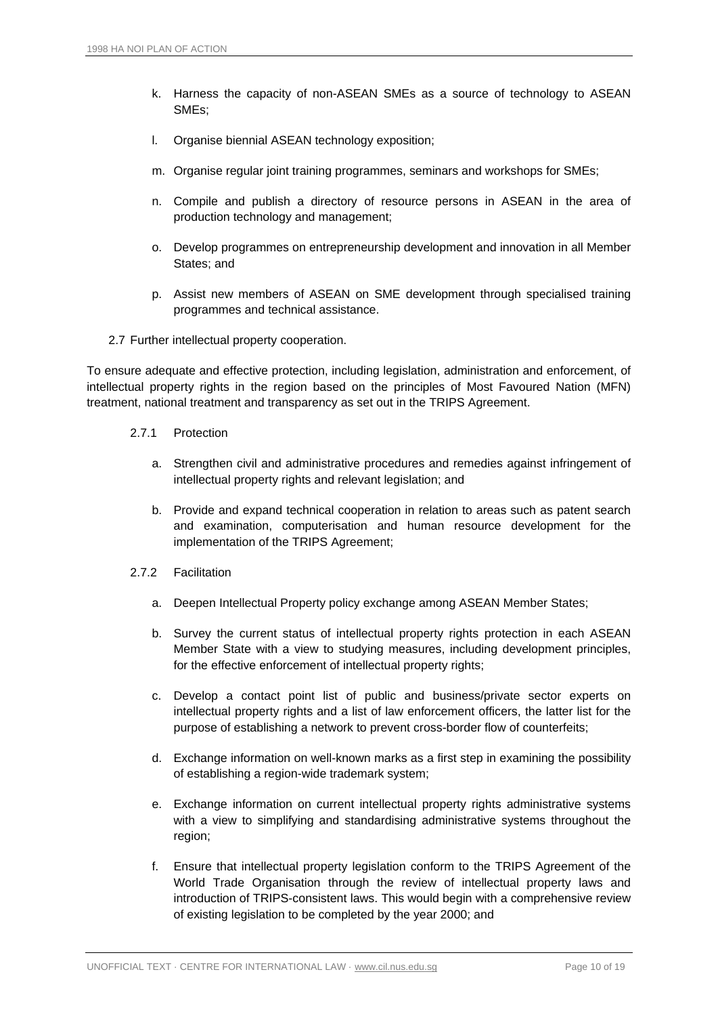- k. Harness the capacity of non-ASEAN SMEs as a source of technology to ASEAN SMEs;
- l. Organise biennial ASEAN technology exposition;
- m. Organise regular joint training programmes, seminars and workshops for SMEs;
- n. Compile and publish a directory of resource persons in ASEAN in the area of production technology and management;
- o. Develop programmes on entrepreneurship development and innovation in all Member States; and
- p. Assist new members of ASEAN on SME development through specialised training programmes and technical assistance.
- 2.7 Further intellectual property cooperation.

To ensure adequate and effective protection, including legislation, administration and enforcement, of intellectual property rights in the region based on the principles of Most Favoured Nation (MFN) treatment, national treatment and transparency as set out in the TRIPS Agreement.

- 2.7.1 Protection
	- a. Strengthen civil and administrative procedures and remedies against infringement of intellectual property rights and relevant legislation; and
	- b. Provide and expand technical cooperation in relation to areas such as patent search and examination, computerisation and human resource development for the implementation of the TRIPS Agreement;
- 2.7.2 Facilitation
	- a. Deepen Intellectual Property policy exchange among ASEAN Member States;
	- b. Survey the current status of intellectual property rights protection in each ASEAN Member State with a view to studying measures, including development principles, for the effective enforcement of intellectual property rights;
	- c. Develop a contact point list of public and business/private sector experts on intellectual property rights and a list of law enforcement officers, the latter list for the purpose of establishing a network to prevent cross-border flow of counterfeits;
	- d. Exchange information on well-known marks as a first step in examining the possibility of establishing a region-wide trademark system;
	- e. Exchange information on current intellectual property rights administrative systems with a view to simplifying and standardising administrative systems throughout the region;
	- f. Ensure that intellectual property legislation conform to the TRIPS Agreement of the World Trade Organisation through the review of intellectual property laws and introduction of TRIPS-consistent laws. This would begin with a comprehensive review of existing legislation to be completed by the year 2000; and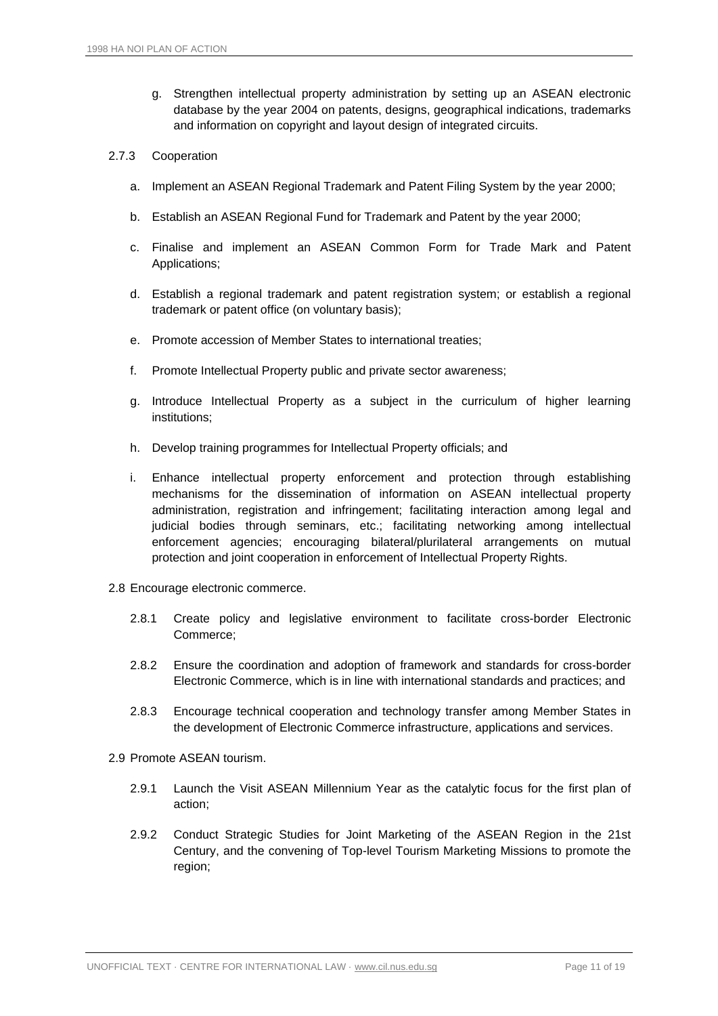g. Strengthen intellectual property administration by setting up an ASEAN electronic database by the year 2004 on patents, designs, geographical indications, trademarks and information on copyright and layout design of integrated circuits.

#### 2.7.3 Cooperation

- a. Implement an ASEAN Regional Trademark and Patent Filing System by the year 2000;
- b. Establish an ASEAN Regional Fund for Trademark and Patent by the year 2000;
- c. Finalise and implement an ASEAN Common Form for Trade Mark and Patent Applications;
- d. Establish a regional trademark and patent registration system; or establish a regional trademark or patent office (on voluntary basis);
- e. Promote accession of Member States to international treaties;
- f. Promote Intellectual Property public and private sector awareness;
- g. Introduce Intellectual Property as a subject in the curriculum of higher learning institutions;
- h. Develop training programmes for Intellectual Property officials; and
- i. Enhance intellectual property enforcement and protection through establishing mechanisms for the dissemination of information on ASEAN intellectual property administration, registration and infringement; facilitating interaction among legal and judicial bodies through seminars, etc.; facilitating networking among intellectual enforcement agencies; encouraging bilateral/plurilateral arrangements on mutual protection and joint cooperation in enforcement of Intellectual Property Rights.
- 2.8 Encourage electronic commerce.
	- 2.8.1 Create policy and legislative environment to facilitate cross-border Electronic Commerce;
	- 2.8.2 Ensure the coordination and adoption of framework and standards for cross-border Electronic Commerce, which is in line with international standards and practices; and
	- 2.8.3 Encourage technical cooperation and technology transfer among Member States in the development of Electronic Commerce infrastructure, applications and services.
- 2.9 Promote ASEAN tourism.
	- 2.9.1 Launch the Visit ASEAN Millennium Year as the catalytic focus for the first plan of action;
	- 2.9.2 Conduct Strategic Studies for Joint Marketing of the ASEAN Region in the 21st Century, and the convening of Top-level Tourism Marketing Missions to promote the region;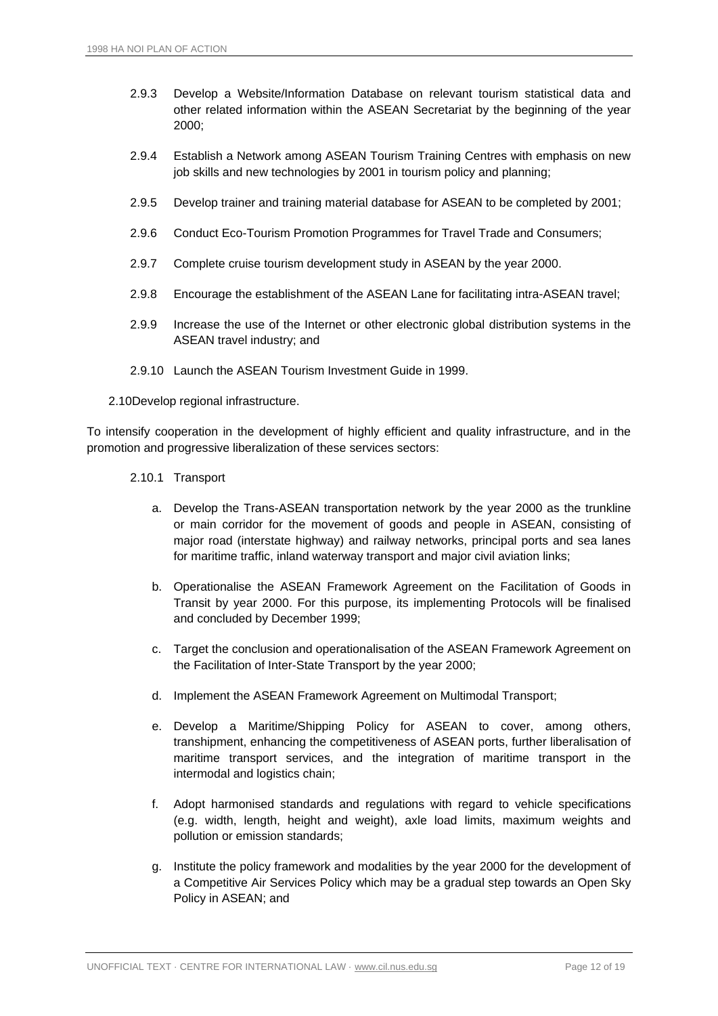- 2.9.3 Develop a Website/Information Database on relevant tourism statistical data and other related information within the ASEAN Secretariat by the beginning of the year 2000;
- 2.9.4 Establish a Network among ASEAN Tourism Training Centres with emphasis on new job skills and new technologies by 2001 in tourism policy and planning;
- 2.9.5 Develop trainer and training material database for ASEAN to be completed by 2001;
- 2.9.6 Conduct Eco-Tourism Promotion Programmes for Travel Trade and Consumers;
- 2.9.7 Complete cruise tourism development study in ASEAN by the year 2000.
- 2.9.8 Encourage the establishment of the ASEAN Lane for facilitating intra-ASEAN travel;
- 2.9.9 Increase the use of the Internet or other electronic global distribution systems in the ASEAN travel industry; and
- 2.9.10 Launch the ASEAN Tourism Investment Guide in 1999.
- 2.10Develop regional infrastructure.

To intensify cooperation in the development of highly efficient and quality infrastructure, and in the promotion and progressive liberalization of these services sectors:

- 2.10.1 Transport
	- a. Develop the Trans-ASEAN transportation network by the year 2000 as the trunkline or main corridor for the movement of goods and people in ASEAN, consisting of major road (interstate highway) and railway networks, principal ports and sea lanes for maritime traffic, inland waterway transport and major civil aviation links;
	- b. Operationalise the ASEAN Framework Agreement on the Facilitation of Goods in Transit by year 2000. For this purpose, its implementing Protocols will be finalised and concluded by December 1999;
	- c. Target the conclusion and operationalisation of the ASEAN Framework Agreement on the Facilitation of Inter-State Transport by the year 2000;
	- d. Implement the ASEAN Framework Agreement on Multimodal Transport;
	- e. Develop a Maritime/Shipping Policy for ASEAN to cover, among others, transhipment, enhancing the competitiveness of ASEAN ports, further liberalisation of maritime transport services, and the integration of maritime transport in the intermodal and logistics chain;
	- f. Adopt harmonised standards and regulations with regard to vehicle specifications (e.g. width, length, height and weight), axle load limits, maximum weights and pollution or emission standards;
	- g. Institute the policy framework and modalities by the year 2000 for the development of a Competitive Air Services Policy which may be a gradual step towards an Open Sky Policy in ASEAN; and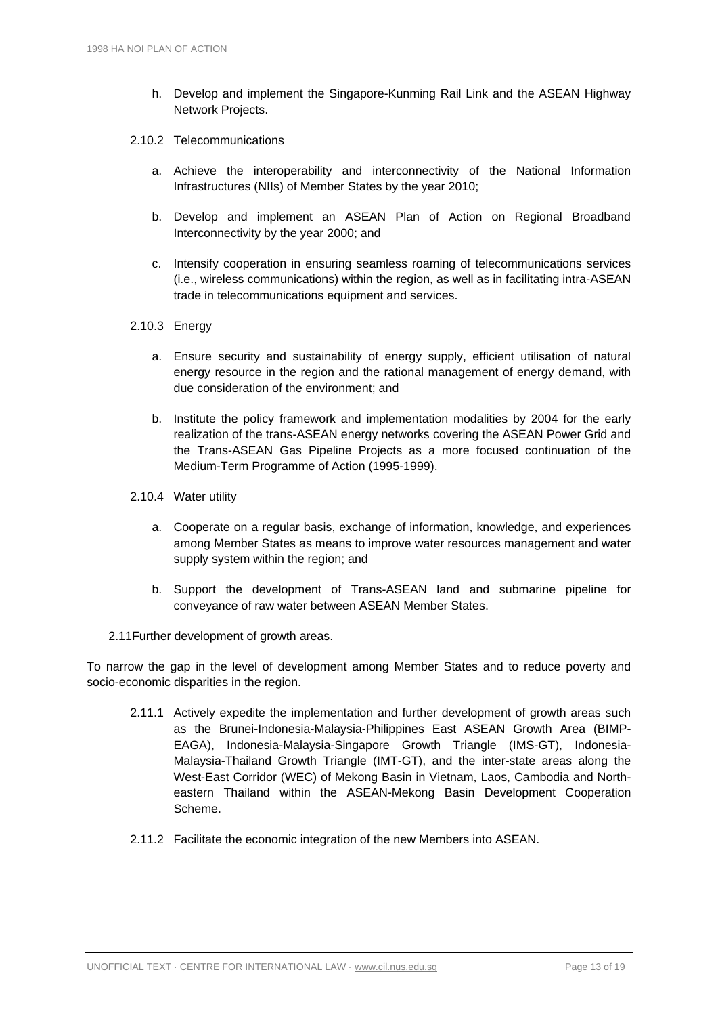- h. Develop and implement the Singapore-Kunming Rail Link and the ASEAN Highway Network Projects.
- 2.10.2 Telecommunications
	- a. Achieve the interoperability and interconnectivity of the National Information Infrastructures (NIIs) of Member States by the year 2010;
	- b. Develop and implement an ASEAN Plan of Action on Regional Broadband Interconnectivity by the year 2000; and
	- c. Intensify cooperation in ensuring seamless roaming of telecommunications services (i.e., wireless communications) within the region, as well as in facilitating intra-ASEAN trade in telecommunications equipment and services.
- 2.10.3 Energy
	- a. Ensure security and sustainability of energy supply, efficient utilisation of natural energy resource in the region and the rational management of energy demand, with due consideration of the environment; and
	- b. Institute the policy framework and implementation modalities by 2004 for the early realization of the trans-ASEAN energy networks covering the ASEAN Power Grid and the Trans-ASEAN Gas Pipeline Projects as a more focused continuation of the Medium-Term Programme of Action (1995-1999).
- 2.10.4 Water utility
	- a. Cooperate on a regular basis, exchange of information, knowledge, and experiences among Member States as means to improve water resources management and water supply system within the region; and
	- b. Support the development of Trans-ASEAN land and submarine pipeline for conveyance of raw water between ASEAN Member States.
- 2.11Further development of growth areas.

To narrow the gap in the level of development among Member States and to reduce poverty and socio-economic disparities in the region.

- 2.11.1 Actively expedite the implementation and further development of growth areas such as the Brunei-Indonesia-Malaysia-Philippines East ASEAN Growth Area (BIMP-EAGA), Indonesia-Malaysia-Singapore Growth Triangle (IMS-GT), Indonesia-Malaysia-Thailand Growth Triangle (IMT-GT), and the inter-state areas along the West-East Corridor (WEC) of Mekong Basin in Vietnam, Laos, Cambodia and Northeastern Thailand within the ASEAN-Mekong Basin Development Cooperation Scheme.
- 2.11.2 Facilitate the economic integration of the new Members into ASEAN.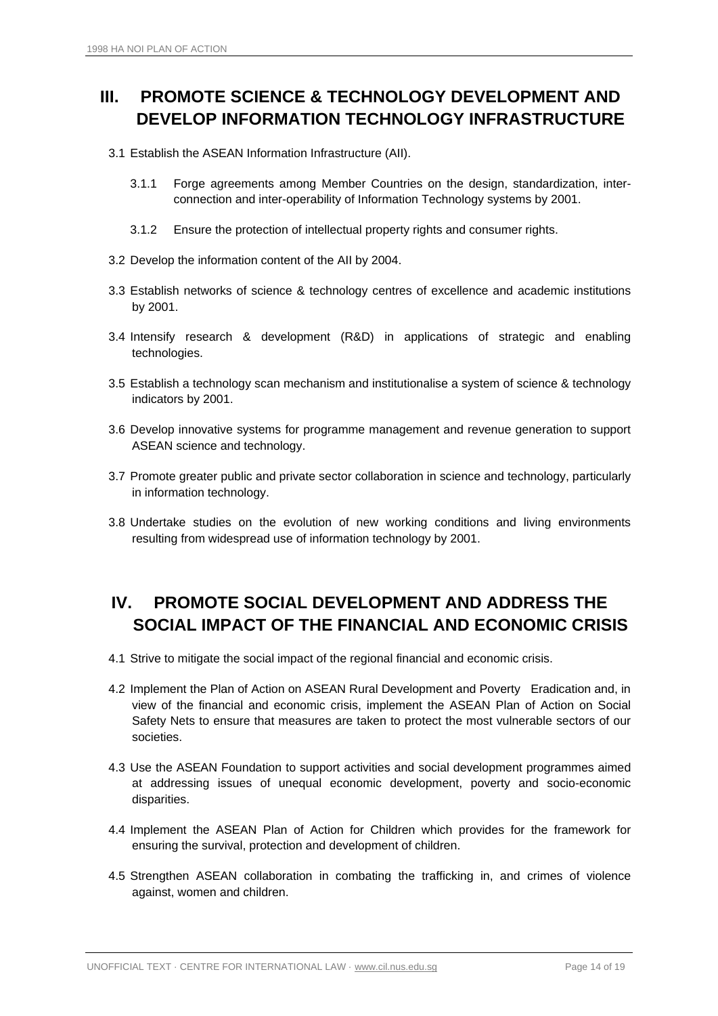## <span id="page-13-0"></span>**III. PROMOTE SCIENCE & TECHNOLOGY DEVELOPMENT AND DEVELOP INFORMATION TECHNOLOGY INFRASTRUCTURE**

- 3.1 Establish the ASEAN Information Infrastructure (AII).
	- 3.1.1 Forge agreements among Member Countries on the design, standardization, interconnection and inter-operability of Information Technology systems by 2001.
	- 3.1.2 Ensure the protection of intellectual property rights and consumer rights.
- 3.2 Develop the information content of the AII by 2004.
- 3.3 Establish networks of science & technology centres of excellence and academic institutions by 2001.
- 3.4 Intensify research & development (R&D) in applications of strategic and enabling technologies.
- 3.5 Establish a technology scan mechanism and institutionalise a system of science & technology indicators by 2001.
- 3.6 Develop innovative systems for programme management and revenue generation to support ASEAN science and technology.
- 3.7 Promote greater public and private sector collaboration in science and technology, particularly in information technology.
- 3.8 Undertake studies on the evolution of new working conditions and living environments resulting from widespread use of information technology by 2001.

### <span id="page-13-1"></span>**IV. PROMOTE SOCIAL DEVELOPMENT AND ADDRESS THE SOCIAL IMPACT OF THE FINANCIAL AND ECONOMIC CRISIS**

- 4.1 Strive to mitigate the social impact of the regional financial and economic crisis.
- 4.2 Implement the Plan of Action on ASEAN Rural Development and Poverty Eradication and, in view of the financial and economic crisis, implement the ASEAN Plan of Action on Social Safety Nets to ensure that measures are taken to protect the most vulnerable sectors of our societies.
- 4.3 Use the ASEAN Foundation to support activities and social development programmes aimed at addressing issues of unequal economic development, poverty and socio-economic disparities.
- 4.4 Implement the ASEAN Plan of Action for Children which provides for the framework for ensuring the survival, protection and development of children.
- 4.5 Strengthen ASEAN collaboration in combating the trafficking in, and crimes of violence against, women and children.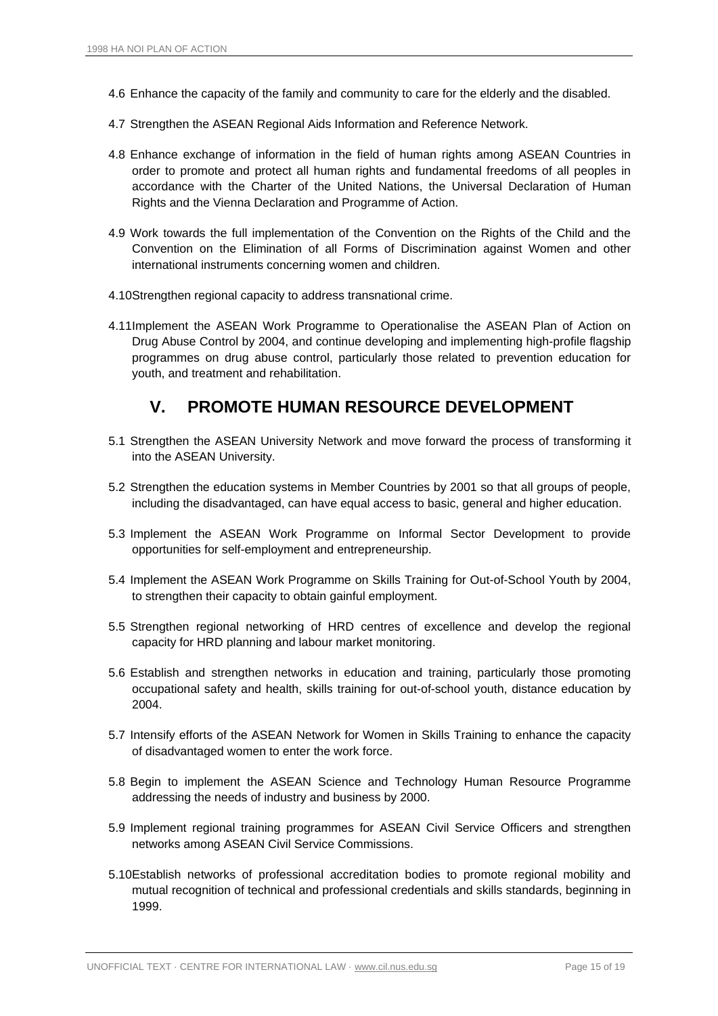- 4.6 Enhance the capacity of the family and community to care for the elderly and the disabled.
- 4.7 Strengthen the ASEAN Regional Aids Information and Reference Network.
- 4.8 Enhance exchange of information in the field of human rights among ASEAN Countries in order to promote and protect all human rights and fundamental freedoms of all peoples in accordance with the Charter of the United Nations, the Universal Declaration of Human Rights and the Vienna Declaration and Programme of Action.
- 4.9 Work towards the full implementation of the Convention on the Rights of the Child and the Convention on the Elimination of all Forms of Discrimination against Women and other international instruments concerning women and children.
- 4.10Strengthen regional capacity to address transnational crime.
- 4.11Implement the ASEAN Work Programme to Operationalise the ASEAN Plan of Action on Drug Abuse Control by 2004, and continue developing and implementing high-profile flagship programmes on drug abuse control, particularly those related to prevention education for youth, and treatment and rehabilitation.

#### **V. PROMOTE HUMAN RESOURCE DEVELOPMENT**

- <span id="page-14-0"></span>5.1 Strengthen the ASEAN University Network and move forward the process of transforming it into the ASEAN University.
- 5.2 Strengthen the education systems in Member Countries by 2001 so that all groups of people, including the disadvantaged, can have equal access to basic, general and higher education.
- 5.3 Implement the ASEAN Work Programme on Informal Sector Development to provide opportunities for self-employment and entrepreneurship.
- 5.4 Implement the ASEAN Work Programme on Skills Training for Out-of-School Youth by 2004, to strengthen their capacity to obtain gainful employment.
- 5.5 Strengthen regional networking of HRD centres of excellence and develop the regional capacity for HRD planning and labour market monitoring.
- 5.6 Establish and strengthen networks in education and training, particularly those promoting occupational safety and health, skills training for out-of-school youth, distance education by 2004.
- 5.7 Intensify efforts of the ASEAN Network for Women in Skills Training to enhance the capacity of disadvantaged women to enter the work force.
- 5.8 Begin to implement the ASEAN Science and Technology Human Resource Programme addressing the needs of industry and business by 2000.
- 5.9 Implement regional training programmes for ASEAN Civil Service Officers and strengthen networks among ASEAN Civil Service Commissions.
- 5.10Establish networks of professional accreditation bodies to promote regional mobility and mutual recognition of technical and professional credentials and skills standards, beginning in 1999.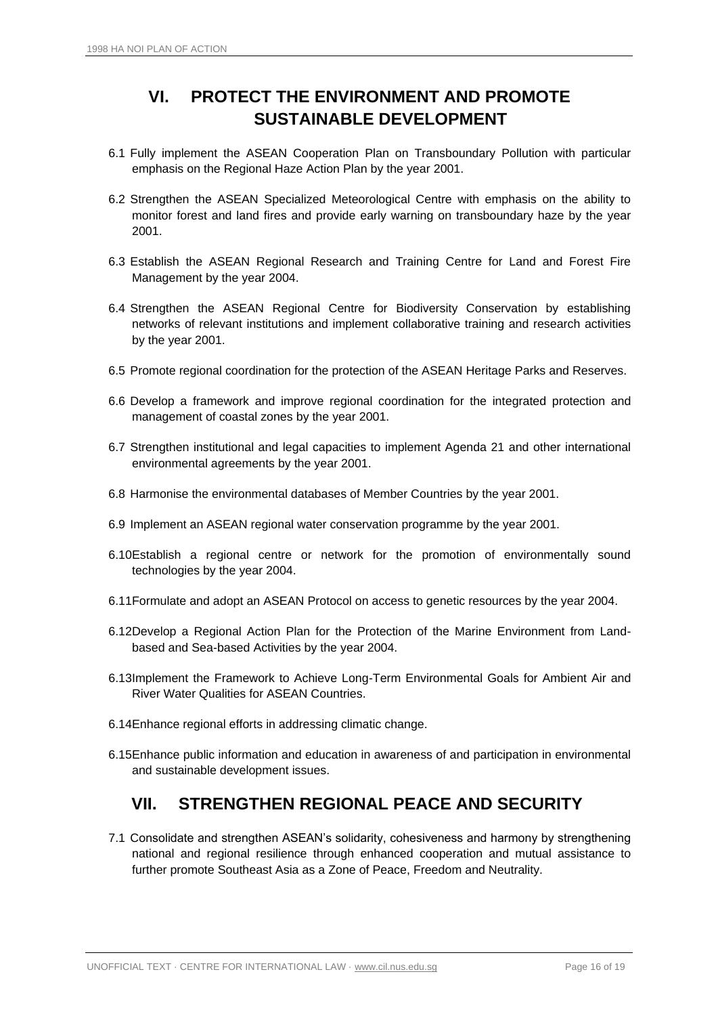## **VI. PROTECT THE ENVIRONMENT AND PROMOTE SUSTAINABLE DEVELOPMENT**

- <span id="page-15-0"></span>6.1 Fully implement the ASEAN Cooperation Plan on Transboundary Pollution with particular emphasis on the Regional Haze Action Plan by the year 2001.
- 6.2 Strengthen the ASEAN Specialized Meteorological Centre with emphasis on the ability to monitor forest and land fires and provide early warning on transboundary haze by the year 2001.
- 6.3 Establish the ASEAN Regional Research and Training Centre for Land and Forest Fire Management by the year 2004.
- 6.4 Strengthen the ASEAN Regional Centre for Biodiversity Conservation by establishing networks of relevant institutions and implement collaborative training and research activities by the year 2001.
- 6.5 Promote regional coordination for the protection of the ASEAN Heritage Parks and Reserves.
- 6.6 Develop a framework and improve regional coordination for the integrated protection and management of coastal zones by the year 2001.
- 6.7 Strengthen institutional and legal capacities to implement Agenda 21 and other international environmental agreements by the year 2001.
- 6.8 Harmonise the environmental databases of Member Countries by the year 2001.
- 6.9 Implement an ASEAN regional water conservation programme by the year 2001.
- 6.10Establish a regional centre or network for the promotion of environmentally sound technologies by the year 2004.
- 6.11Formulate and adopt an ASEAN Protocol on access to genetic resources by the year 2004.
- 6.12Develop a Regional Action Plan for the Protection of the Marine Environment from Landbased and Sea-based Activities by the year 2004.
- 6.13Implement the Framework to Achieve Long-Term Environmental Goals for Ambient Air and River Water Qualities for ASEAN Countries.
- 6.14Enhance regional efforts in addressing climatic change.
- <span id="page-15-1"></span>6.15Enhance public information and education in awareness of and participation in environmental and sustainable development issues.

#### **VII. STRENGTHEN REGIONAL PEACE AND SECURITY**

7.1 Consolidate and strengthen ASEAN's solidarity, cohesiveness and harmony by strengthening national and regional resilience through enhanced cooperation and mutual assistance to further promote Southeast Asia as a Zone of Peace, Freedom and Neutrality.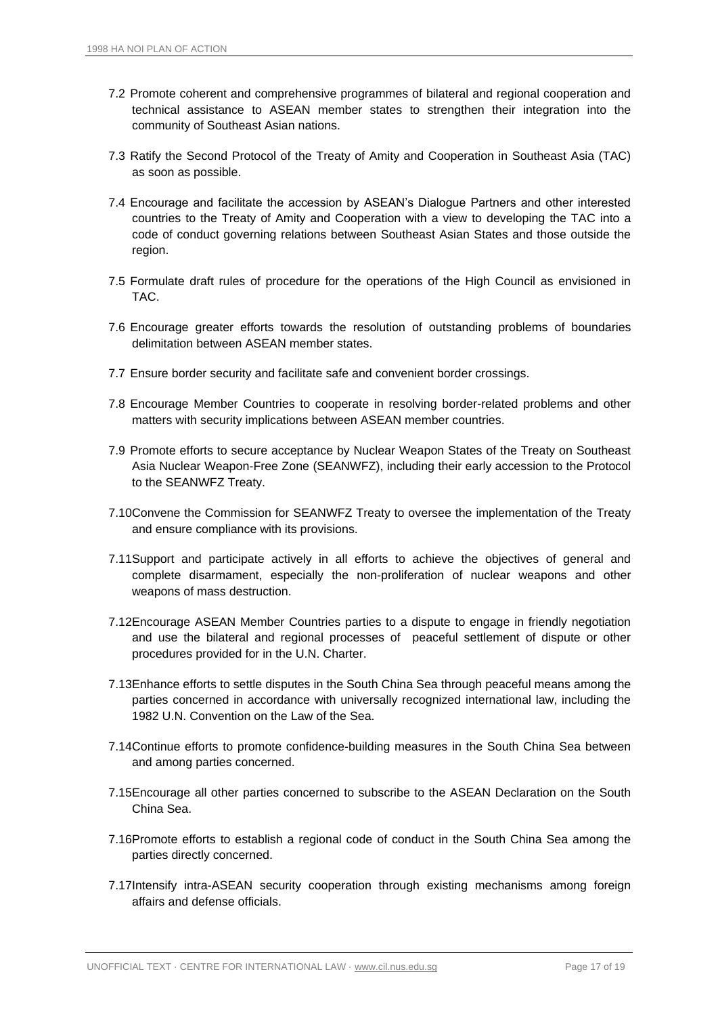- 7.2 Promote coherent and comprehensive programmes of bilateral and regional cooperation and technical assistance to ASEAN member states to strengthen their integration into the community of Southeast Asian nations.
- 7.3 Ratify the Second Protocol of the Treaty of Amity and Cooperation in Southeast Asia (TAC) as soon as possible.
- 7.4 Encourage and facilitate the accession by ASEAN's Dialogue Partners and other interested countries to the Treaty of Amity and Cooperation with a view to developing the TAC into a code of conduct governing relations between Southeast Asian States and those outside the region.
- 7.5 Formulate draft rules of procedure for the operations of the High Council as envisioned in TAC.
- 7.6 Encourage greater efforts towards the resolution of outstanding problems of boundaries delimitation between ASEAN member states.
- 7.7 Ensure border security and facilitate safe and convenient border crossings.
- 7.8 Encourage Member Countries to cooperate in resolving border-related problems and other matters with security implications between ASEAN member countries.
- 7.9 Promote efforts to secure acceptance by Nuclear Weapon States of the Treaty on Southeast Asia Nuclear Weapon-Free Zone (SEANWFZ), including their early accession to the Protocol to the SEANWFZ Treaty.
- 7.10Convene the Commission for SEANWFZ Treaty to oversee the implementation of the Treaty and ensure compliance with its provisions.
- 7.11Support and participate actively in all efforts to achieve the objectives of general and complete disarmament, especially the non-proliferation of nuclear weapons and other weapons of mass destruction.
- 7.12Encourage ASEAN Member Countries parties to a dispute to engage in friendly negotiation and use the bilateral and regional processes of peaceful settlement of dispute or other procedures provided for in the U.N. Charter.
- 7.13Enhance efforts to settle disputes in the South China Sea through peaceful means among the parties concerned in accordance with universally recognized international law, including the 1982 U.N. Convention on the Law of the Sea.
- 7.14Continue efforts to promote confidence-building measures in the South China Sea between and among parties concerned.
- 7.15Encourage all other parties concerned to subscribe to the ASEAN Declaration on the South China Sea.
- 7.16Promote efforts to establish a regional code of conduct in the South China Sea among the parties directly concerned.
- 7.17Intensify intra-ASEAN security cooperation through existing mechanisms among foreign affairs and defense officials.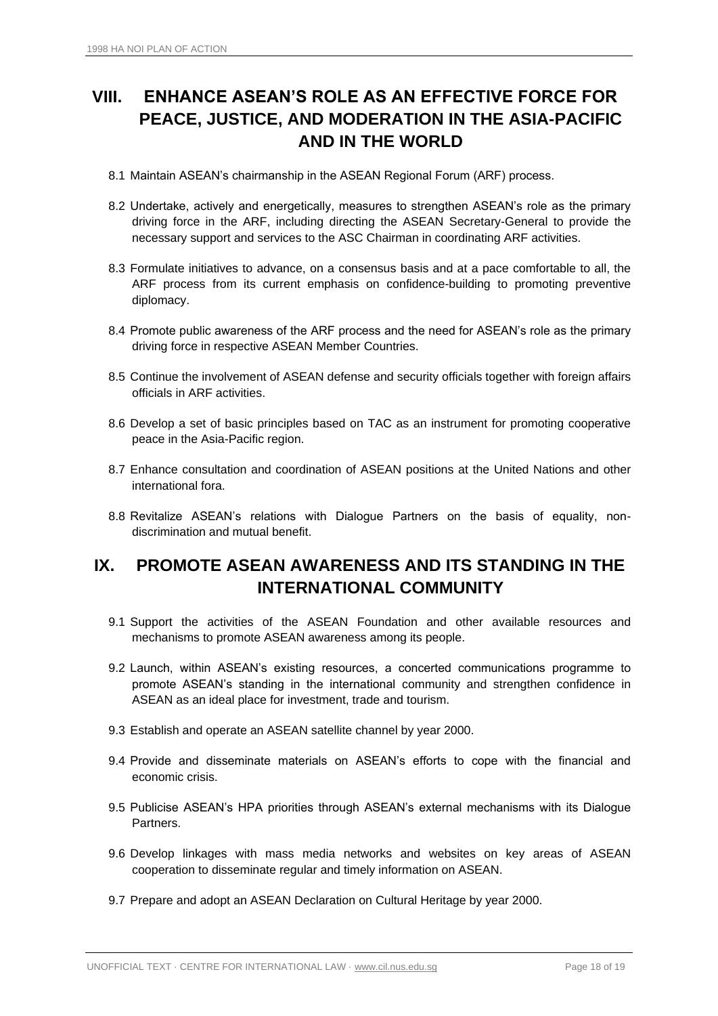# <span id="page-17-0"></span>**VIII. ENHANCE ASEAN'S ROLE AS AN EFFECTIVE FORCE FOR PEACE, JUSTICE, AND MODERATION IN THE ASIA-PACIFIC AND IN THE WORLD**

- 8.1 Maintain ASEAN's chairmanship in the ASEAN Regional Forum (ARF) process.
- 8.2 Undertake, actively and energetically, measures to strengthen ASEAN's role as the primary driving force in the ARF, including directing the ASEAN Secretary-General to provide the necessary support and services to the ASC Chairman in coordinating ARF activities.
- 8.3 Formulate initiatives to advance, on a consensus basis and at a pace comfortable to all, the ARF process from its current emphasis on confidence-building to promoting preventive diplomacy.
- 8.4 Promote public awareness of the ARF process and the need for ASEAN's role as the primary driving force in respective ASEAN Member Countries.
- 8.5 Continue the involvement of ASEAN defense and security officials together with foreign affairs officials in ARF activities.
- 8.6 Develop a set of basic principles based on TAC as an instrument for promoting cooperative peace in the Asia-Pacific region.
- 8.7 Enhance consultation and coordination of ASEAN positions at the United Nations and other international fora.
- 8.8 Revitalize ASEAN's relations with Dialogue Partners on the basis of equality, nondiscrimination and mutual benefit.

### <span id="page-17-1"></span>**IX. PROMOTE ASEAN AWARENESS AND ITS STANDING IN THE INTERNATIONAL COMMUNITY**

- 9.1 Support the activities of the ASEAN Foundation and other available resources and mechanisms to promote ASEAN awareness among its people.
- 9.2 Launch, within ASEAN's existing resources, a concerted communications programme to promote ASEAN's standing in the international community and strengthen confidence in ASEAN as an ideal place for investment, trade and tourism.
- 9.3 Establish and operate an ASEAN satellite channel by year 2000.
- 9.4 Provide and disseminate materials on ASEAN's efforts to cope with the financial and economic crisis.
- 9.5 Publicise ASEAN's HPA priorities through ASEAN's external mechanisms with its Dialogue Partners.
- 9.6 Develop linkages with mass media networks and websites on key areas of ASEAN cooperation to disseminate regular and timely information on ASEAN.
- 9.7 Prepare and adopt an ASEAN Declaration on Cultural Heritage by year 2000.